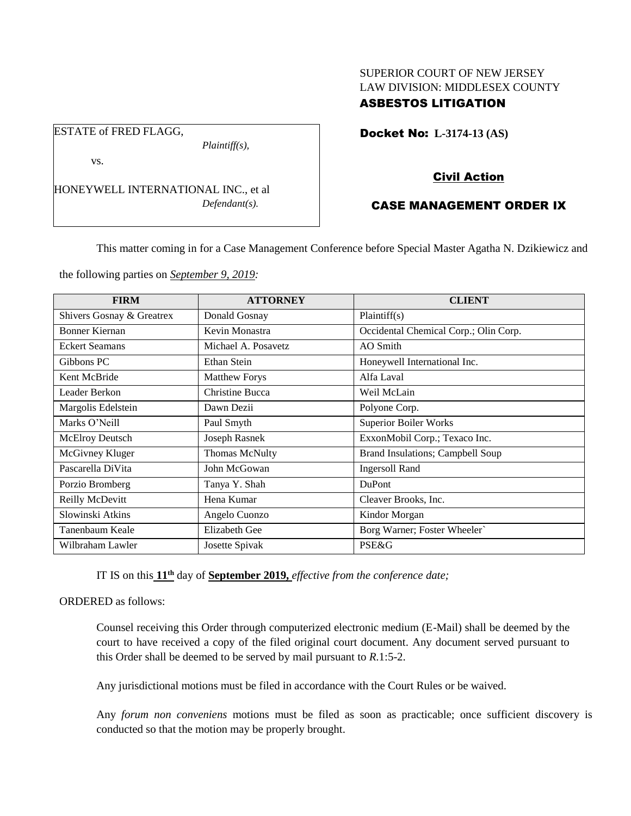# SUPERIOR COURT OF NEW JERSEY LAW DIVISION: MIDDLESEX COUNTY ASBESTOS LITIGATION

Docket No: **L-3174-13 (AS)** 

vs.

ESTATE of FRED FLAGG,

HONEYWELL INTERNATIONAL INC., et al *Defendant(s).*

*Plaintiff(s),*

# Civil Action

# CASE MANAGEMENT ORDER IX

This matter coming in for a Case Management Conference before Special Master Agatha N. Dzikiewicz and

the following parties on *September 9, 2019:*

| <b>FIRM</b>               | <b>ATTORNEY</b>      | <b>CLIENT</b>                         |
|---------------------------|----------------------|---------------------------------------|
| Shivers Gosnay & Greatrex | Donald Gosnay        | Plaintiff(s)                          |
| Bonner Kiernan            | Kevin Monastra       | Occidental Chemical Corp.; Olin Corp. |
| <b>Eckert Seamans</b>     | Michael A. Posavetz  | AO Smith                              |
| Gibbons PC                | Ethan Stein          | Honeywell International Inc.          |
| Kent McBride              | <b>Matthew Forys</b> | Alfa Laval                            |
| Leader Berkon             | Christine Bucca      | Weil McLain                           |
| Margolis Edelstein        | Dawn Dezii           | Polyone Corp.                         |
| Marks O'Neill             | Paul Smyth           | <b>Superior Boiler Works</b>          |
| <b>McElroy Deutsch</b>    | Joseph Rasnek        | ExxonMobil Corp.; Texaco Inc.         |
| McGivney Kluger           | Thomas McNulty       | Brand Insulations; Campbell Soup      |
| Pascarella DiVita         | John McGowan         | <b>Ingersoll Rand</b>                 |
| Porzio Bromberg           | Tanya Y. Shah        | DuPont                                |
| Reilly McDevitt           | Hena Kumar           | Cleaver Brooks, Inc.                  |
| Slowinski Atkins          | Angelo Cuonzo        | Kindor Morgan                         |
| Tanenbaum Keale           | <b>Elizabeth Gee</b> | Borg Warner; Foster Wheeler`          |
| Wilbraham Lawler          | Josette Spivak       | <b>PSE&amp;G</b>                      |

IT IS on this **11th** day of **September 2019,** *effective from the conference date;*

ORDERED as follows:

Counsel receiving this Order through computerized electronic medium (E-Mail) shall be deemed by the court to have received a copy of the filed original court document. Any document served pursuant to this Order shall be deemed to be served by mail pursuant to *R*.1:5-2.

Any jurisdictional motions must be filed in accordance with the Court Rules or be waived.

Any *forum non conveniens* motions must be filed as soon as practicable; once sufficient discovery is conducted so that the motion may be properly brought.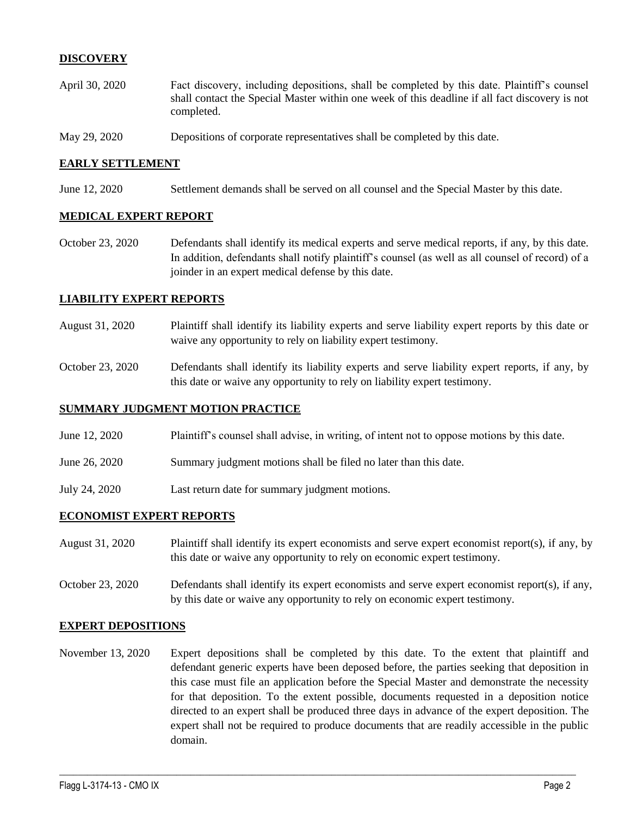## **DISCOVERY**

- April 30, 2020 Fact discovery, including depositions, shall be completed by this date. Plaintiff's counsel shall contact the Special Master within one week of this deadline if all fact discovery is not completed.
- May 29, 2020 Depositions of corporate representatives shall be completed by this date.

### **EARLY SETTLEMENT**

June 12, 2020 Settlement demands shall be served on all counsel and the Special Master by this date.

#### **MEDICAL EXPERT REPORT**

October 23, 2020 Defendants shall identify its medical experts and serve medical reports, if any, by this date. In addition, defendants shall notify plaintiff's counsel (as well as all counsel of record) of a joinder in an expert medical defense by this date.

#### **LIABILITY EXPERT REPORTS**

- August 31, 2020 Plaintiff shall identify its liability experts and serve liability expert reports by this date or waive any opportunity to rely on liability expert testimony.
- October 23, 2020 Defendants shall identify its liability experts and serve liability expert reports, if any, by this date or waive any opportunity to rely on liability expert testimony.

#### **SUMMARY JUDGMENT MOTION PRACTICE**

- June 12, 2020 Plaintiff's counsel shall advise, in writing, of intent not to oppose motions by this date.
- June 26, 2020 Summary judgment motions shall be filed no later than this date.
- July 24, 2020 Last return date for summary judgment motions.

#### **ECONOMIST EXPERT REPORTS**

- August 31, 2020 Plaintiff shall identify its expert economists and serve expert economist report(s), if any, by this date or waive any opportunity to rely on economic expert testimony.
- October 23, 2020 Defendants shall identify its expert economists and serve expert economist report(s), if any, by this date or waive any opportunity to rely on economic expert testimony.

#### **EXPERT DEPOSITIONS**

November 13, 2020 Expert depositions shall be completed by this date. To the extent that plaintiff and defendant generic experts have been deposed before, the parties seeking that deposition in this case must file an application before the Special Master and demonstrate the necessity for that deposition. To the extent possible, documents requested in a deposition notice directed to an expert shall be produced three days in advance of the expert deposition. The expert shall not be required to produce documents that are readily accessible in the public domain.

 $\_$  , and the set of the set of the set of the set of the set of the set of the set of the set of the set of the set of the set of the set of the set of the set of the set of the set of the set of the set of the set of th